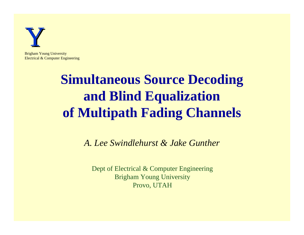

Brigham Young University Electrical & Computer Engineering

## **Simultaneous Source Decoding and Blind Equalization of Multipath Fading Channels**

*A. Lee Swindlehurst & Jake Gunther*

Dept of Electrical & Computer Engineering Brigham Young University Provo, UTAH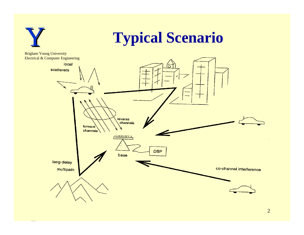

2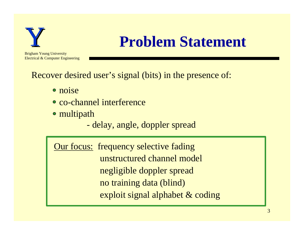

## **Problem Statement**

Recover desired user's signal (bits) in the presence of:

• noise

j

- co-channel interference
- multipath

- delay, angle, doppler spread

**Our focus:** frequency selective fading unstructured channel model negligible doppler spread no training data (blind) exploit signal alphabet & coding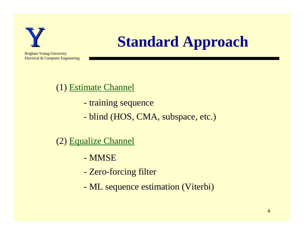

## **Standard Approach**

Brigham Young University Electrical & Computer Engineering

#### (1) Estimate Channel

- training sequence
- blind (HOS, CMA, subspace, etc.)

(2) Equalize Channel

- MMSE
- Zero-forcing filter
- ML sequence estimation (Viterbi)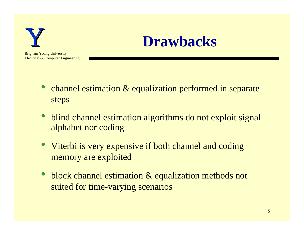

#### **Drawbacks**

- channel estimation & equalization performed in separate steps
- blind channel estimation algorithms do not exploit signal alphabet nor coding
- Viterbi is very expensive if both channel and coding memory are exploited
- block channel estimation & equalization methods not suited for time-varying scenarios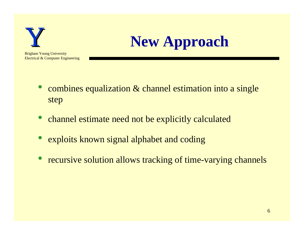

# **New Approach**

- combines equalization & channel estimation into a single step
- channel estimate need not be explicitly calculated
- exploits known signal alphabet and coding
- recursive solution allows tracking of time-varying channels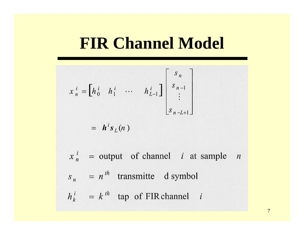### **FIR Channel Model**

$$
x_n^i = \begin{bmatrix} h_0^i & h_1^i & \cdots & h_{L-1}^i \end{bmatrix} \begin{bmatrix} s_n \\ s_{n-1} \\ \vdots \\ s_{n-L+1} \end{bmatrix}
$$
  
=  $h^i s_L(n)$ 

 $x_n^i$  = output of channel *i* at sample *n*  $s_n = n^{th}$  transmitte d symbol  $h_k^i = k^{th}$  tap of FIR channel i

7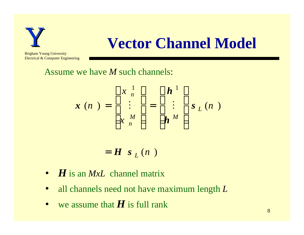

## **Vector Channel Model**

Brigham Young University Electrical & Computer Engineering

Assume we have *M* such channels:

$$
\boldsymbol{x}(n) = \begin{bmatrix} x \frac{1}{n} \\ \vdots \\ x \frac{M}{n} \end{bmatrix} = \begin{bmatrix} \boldsymbol{h}^1 \\ \vdots \\ \boldsymbol{h}^M \end{bmatrix} \boldsymbol{s}_L(n)
$$

 $=$  **H**  $\mathbf{S}_{L}(n)$ 

- *H* is an *MxL* channel matrix
- all channels need not have maximum length *L*
- we assume that *H* is full rank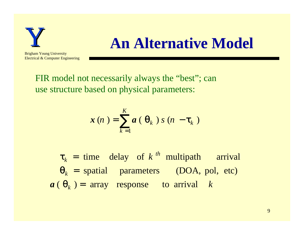

#### **An Alternative Model**

FIR model not necessarily always the "best"; can use structure based on physical parameters:

$$
\mathbf{x}(n) = \sum_{k=1}^{K} a(\theta_k) s(n - \tau_k)
$$

 $a \in \Theta_k$ ) = array response to arrival k *k th*  $\theta_k$  = spatial parameters (DOA, pol, etc)  $\tau_k$  = time delay of k<sup>th</sup> multipath arrival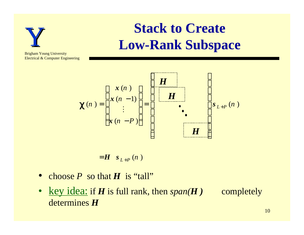

## **Stack to Create Low-Rank Subspace**

Brigham Young University Electrical & Computer Engineering



 $=$ *H*  $s_{L+P}(n)$ 

- choose  $P$  so that  $H$  is "tall"
- <u>key idea:</u> if *H* is full rank, then  $span(H)$  completely determines *H*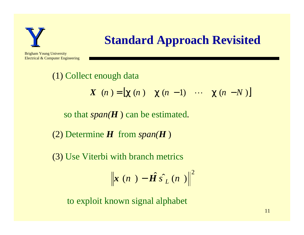

#### **Standard Approach Revisited**

Brigham Young University Electrical & Computer Engineering

> (1) Collect enough data so that *span(H* ) can be estimated. (2) Determine *H* from *span(H* ) (3) Use Viterbi with branch metrics  $X(n) = [\chi(n) \quad \chi(n-1) \quad \cdots \quad \chi(n-N)]$

$$
\left\| \boldsymbol{x} \left( n \right. \right) - \hat{\boldsymbol{H}} \hat{\boldsymbol{s}}_{L}^{\prime} \left( n \right. \left. \right) \right\|^{2}
$$

to exploit known signal alphabet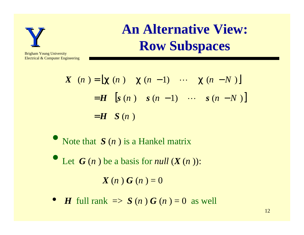

#### **An Alternative View: Row Subspaces**

Brigham Young University Electrical & Computer Engineering

$$
\begin{aligned} \mathbf{X} \quad (n) &= \left[ \chi \ (n) \quad \chi \ (n-1) \quad \cdots \quad \chi \ (n-N) \right] \\ &= \mathbf{H} \quad \left[ \mathbf{s} \ (n) \quad \mathbf{s} \ (n-1) \quad \cdots \quad \mathbf{s} \ (n-N) \right] \\ &= \mathbf{H} \quad \mathbf{S} \ (n) \end{aligned}
$$

• Note that *S* (*n*) is a Hankel matrix

• Let  $G(n)$  be a basis for *null*  $(X(n))$ :  $X(n) G(n) = 0$ 

• *H* full rank  $\Rightarrow$  *S* (*n*) *G* (*n*)  $=$  0 as well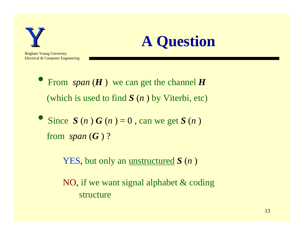



- From *span* (*H* ) we can get the channel *<sup>H</sup>* (which is used to find *S* (*n* ) by Viterbi, etc)
- Since  $S(n) G(n) = 0$ , can we get  $S(n)$ from  $span(G)$ ?

YES, but only an unstructured *S* (*n* )

 NO, if we want signal alphabet & coding structure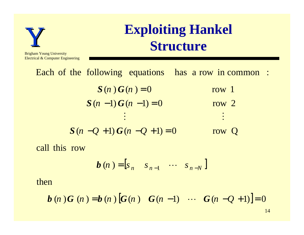

Electrical & Computer Engineering

## **Exploiting Hankel Structure**

Each of the following equations has a row in common :

- $S(n-1)G(n-1) = 0$  $S(n)G(n) = 0$ M M row 2 row 1
- $S(n Q + 1) G(n Q + 1) = 0$ row Q

call this row

$$
\boldsymbol{b}(n) = \begin{bmatrix} s_n & s_{n-1} & \cdots & s_{n-N} \end{bmatrix}
$$

then

**b** (n) **G** (n) = **b** (n) 
$$
[G(n) G(n-1) \cdots G(n-Q+1)] = 0
$$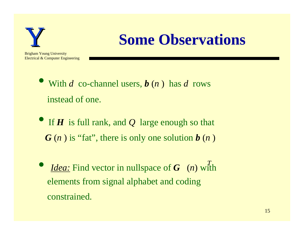

## **Some Observations**

Brigham Young University Electrical & Computer Engineering

- With *d* co-channel users,  $\boldsymbol{b}$  (*n*) has *d* rows instead of one.
- **•** If *H* is full rank, and *Q* large enough so that *G* (*n* ) is "fat", there is only one solution *b* (*n* )
- *Idea:* Find vector in nullspace of *<sup>G</sup>* (*n*) with elements from signal alphabet and coding constrained. *T*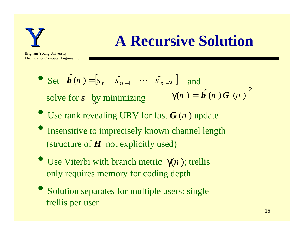

## **A Recursive Solution**

Brigham Young University Electrical & Computer Engineering

- Set  $\hat{b}(n) = [s_n \quad \hat{s}_{n-1} \quad \cdots \quad \hat{s}_{n-N}]$  and solve for *s* by minimizing 2  $\gamma(n) = | \hat{b}(n)G(n)$  *n*
- Use rank revealing URV for fast *G* (*n* ) update
- Insensitive to imprecisely known channel length (structure of *H* not explicitly used)
- Use Viterbi with branch metric  $γ(n)$ ; trellis only requires memory for coding depth
- Solution separates for multiple users: single trellis per user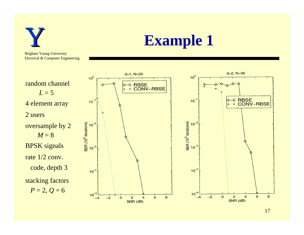

17

 $\overline{8}$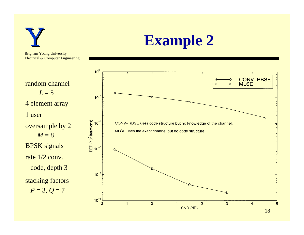